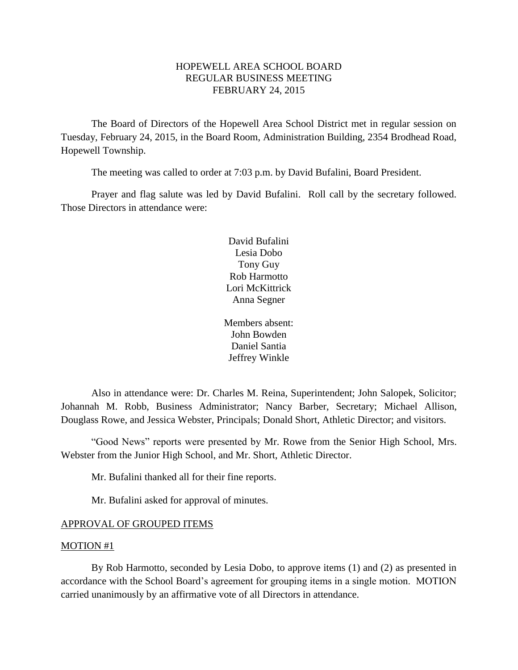# HOPEWELL AREA SCHOOL BOARD REGULAR BUSINESS MEETING FEBRUARY 24, 2015

The Board of Directors of the Hopewell Area School District met in regular session on Tuesday, February 24, 2015, in the Board Room, Administration Building, 2354 Brodhead Road, Hopewell Township.

The meeting was called to order at 7:03 p.m. by David Bufalini, Board President.

Prayer and flag salute was led by David Bufalini. Roll call by the secretary followed. Those Directors in attendance were:

> David Bufalini Lesia Dobo Tony Guy Rob Harmotto Lori McKittrick Anna Segner

Members absent: John Bowden Daniel Santia Jeffrey Winkle

Also in attendance were: Dr. Charles M. Reina, Superintendent; John Salopek, Solicitor; Johannah M. Robb, Business Administrator; Nancy Barber, Secretary; Michael Allison, Douglass Rowe, and Jessica Webster, Principals; Donald Short, Athletic Director; and visitors.

"Good News" reports were presented by Mr. Rowe from the Senior High School, Mrs. Webster from the Junior High School, and Mr. Short, Athletic Director.

Mr. Bufalini thanked all for their fine reports.

Mr. Bufalini asked for approval of minutes.

## APPROVAL OF GROUPED ITEMS

### MOTION #1

By Rob Harmotto, seconded by Lesia Dobo, to approve items (1) and (2) as presented in accordance with the School Board's agreement for grouping items in a single motion. MOTION carried unanimously by an affirmative vote of all Directors in attendance.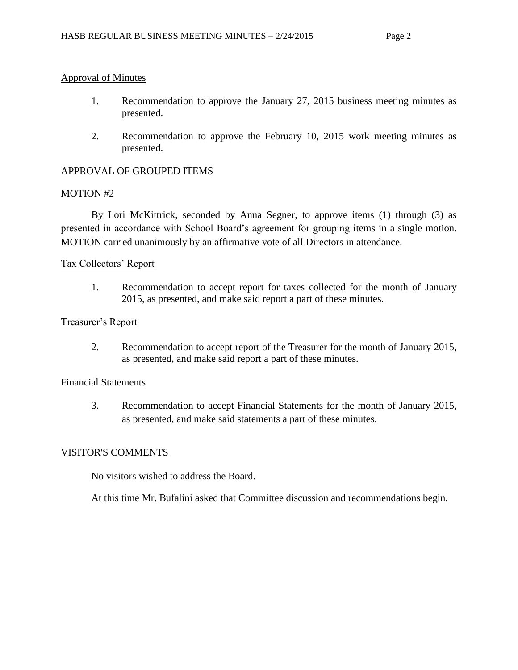## Approval of Minutes

- 1. Recommendation to approve the January 27, 2015 business meeting minutes as presented.
- 2. Recommendation to approve the February 10, 2015 work meeting minutes as presented.

# APPROVAL OF GROUPED ITEMS

## MOTION #2

By Lori McKittrick, seconded by Anna Segner, to approve items (1) through (3) as presented in accordance with School Board's agreement for grouping items in a single motion. MOTION carried unanimously by an affirmative vote of all Directors in attendance.

## Tax Collectors' Report

1. Recommendation to accept report for taxes collected for the month of January 2015, as presented, and make said report a part of these minutes.

## Treasurer's Report

2. Recommendation to accept report of the Treasurer for the month of January 2015, as presented, and make said report a part of these minutes.

## Financial Statements

3. Recommendation to accept Financial Statements for the month of January 2015, as presented, and make said statements a part of these minutes.

# VISITOR'S COMMENTS

No visitors wished to address the Board.

At this time Mr. Bufalini asked that Committee discussion and recommendations begin.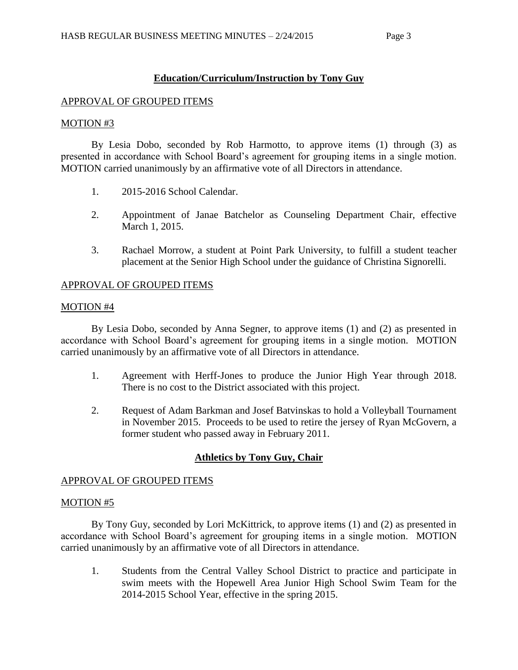# **Education/Curriculum/Instruction by Tony Guy**

## APPROVAL OF GROUPED ITEMS

## MOTION #3

By Lesia Dobo, seconded by Rob Harmotto, to approve items (1) through (3) as presented in accordance with School Board's agreement for grouping items in a single motion. MOTION carried unanimously by an affirmative vote of all Directors in attendance.

- 1. 2015-2016 School Calendar.
- 2. Appointment of Janae Batchelor as Counseling Department Chair, effective March 1, 2015.
- 3. Rachael Morrow, a student at Point Park University, to fulfill a student teacher placement at the Senior High School under the guidance of Christina Signorelli.

## APPROVAL OF GROUPED ITEMS

## MOTION #4

By Lesia Dobo, seconded by Anna Segner, to approve items (1) and (2) as presented in accordance with School Board's agreement for grouping items in a single motion. MOTION carried unanimously by an affirmative vote of all Directors in attendance.

- 1. Agreement with Herff-Jones to produce the Junior High Year through 2018. There is no cost to the District associated with this project.
- 2. Request of Adam Barkman and Josef Batvinskas to hold a Volleyball Tournament in November 2015. Proceeds to be used to retire the jersey of Ryan McGovern, a former student who passed away in February 2011.

# **Athletics by Tony Guy, Chair**

## APPROVAL OF GROUPED ITEMS

## MOTION #5

By Tony Guy, seconded by Lori McKittrick, to approve items (1) and (2) as presented in accordance with School Board's agreement for grouping items in a single motion. MOTION carried unanimously by an affirmative vote of all Directors in attendance.

1. Students from the Central Valley School District to practice and participate in swim meets with the Hopewell Area Junior High School Swim Team for the 2014-2015 School Year, effective in the spring 2015.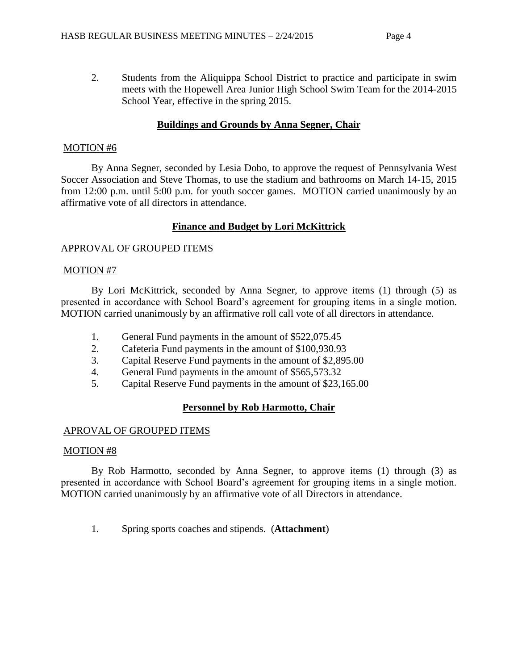2. Students from the Aliquippa School District to practice and participate in swim meets with the Hopewell Area Junior High School Swim Team for the 2014-2015 School Year, effective in the spring 2015.

# **Buildings and Grounds by Anna Segner, Chair**

# MOTION #6

By Anna Segner, seconded by Lesia Dobo, to approve the request of Pennsylvania West Soccer Association and Steve Thomas, to use the stadium and bathrooms on March 14-15, 2015 from 12:00 p.m. until 5:00 p.m. for youth soccer games. MOTION carried unanimously by an affirmative vote of all directors in attendance.

# **Finance and Budget by Lori McKittrick**

# APPROVAL OF GROUPED ITEMS

# MOTION #7

By Lori McKittrick, seconded by Anna Segner, to approve items (1) through (5) as presented in accordance with School Board's agreement for grouping items in a single motion. MOTION carried unanimously by an affirmative roll call vote of all directors in attendance.

- 1. General Fund payments in the amount of \$522,075.45
- 2. Cafeteria Fund payments in the amount of \$100,930.93
- 3. Capital Reserve Fund payments in the amount of \$2,895.00
- 4. General Fund payments in the amount of \$565,573.32
- 5. Capital Reserve Fund payments in the amount of \$23,165.00

# **Personnel by Rob Harmotto, Chair**

# APROVAL OF GROUPED ITEMS

# MOTION #8

By Rob Harmotto, seconded by Anna Segner, to approve items (1) through (3) as presented in accordance with School Board's agreement for grouping items in a single motion. MOTION carried unanimously by an affirmative vote of all Directors in attendance.

1. Spring sports coaches and stipends. (**Attachment**)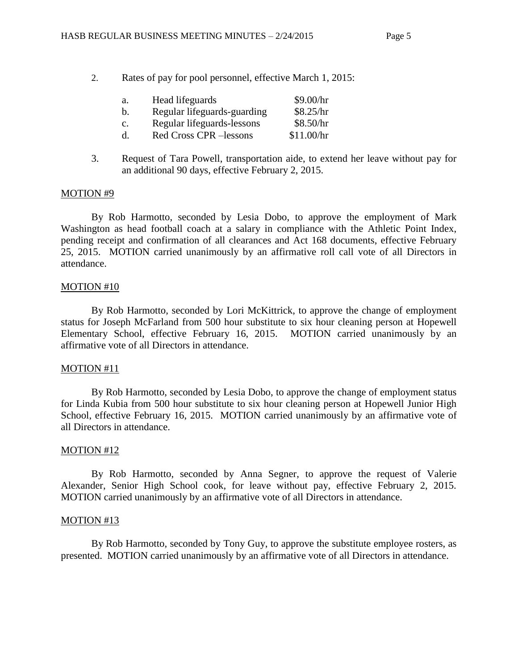2. Rates of pay for pool personnel, effective March 1, 2015:

| a. | Head lifeguards             | \$9.00/hr  |
|----|-----------------------------|------------|
| b. | Regular lifeguards-guarding | \$8.25/hr  |
| c. | Regular lifeguards-lessons  | \$8.50/hr  |
| d. | Red Cross CPR -lessons      | \$11.00/hr |

3. Request of Tara Powell, transportation aide, to extend her leave without pay for an additional 90 days, effective February 2, 2015.

## MOTION #9

By Rob Harmotto, seconded by Lesia Dobo, to approve the employment of Mark Washington as head football coach at a salary in compliance with the Athletic Point Index, pending receipt and confirmation of all clearances and Act 168 documents, effective February 25, 2015. MOTION carried unanimously by an affirmative roll call vote of all Directors in attendance.

### MOTION #10

By Rob Harmotto, seconded by Lori McKittrick, to approve the change of employment status for Joseph McFarland from 500 hour substitute to six hour cleaning person at Hopewell Elementary School, effective February 16, 2015. MOTION carried unanimously by an affirmative vote of all Directors in attendance.

#### MOTION #11

By Rob Harmotto, seconded by Lesia Dobo, to approve the change of employment status for Linda Kubia from 500 hour substitute to six hour cleaning person at Hopewell Junior High School, effective February 16, 2015. MOTION carried unanimously by an affirmative vote of all Directors in attendance.

#### MOTION #12

By Rob Harmotto, seconded by Anna Segner, to approve the request of Valerie Alexander, Senior High School cook, for leave without pay, effective February 2, 2015. MOTION carried unanimously by an affirmative vote of all Directors in attendance.

#### MOTION #13

By Rob Harmotto, seconded by Tony Guy, to approve the substitute employee rosters, as presented. MOTION carried unanimously by an affirmative vote of all Directors in attendance.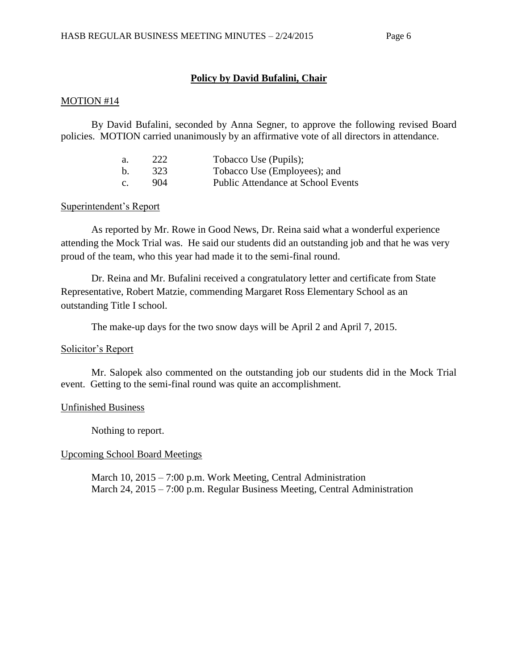## **Policy by David Bufalini, Chair**

### MOTION #14

By David Bufalini, seconded by Anna Segner, to approve the following revised Board policies. MOTION carried unanimously by an affirmative vote of all directors in attendance.

| а. | 222 | Tobacco Use (Pupils);                     |
|----|-----|-------------------------------------------|
| b. | 323 | Tobacco Use (Employees); and              |
| c. | 904 | <b>Public Attendance at School Events</b> |

### Superintendent's Report

As reported by Mr. Rowe in Good News, Dr. Reina said what a wonderful experience attending the Mock Trial was. He said our students did an outstanding job and that he was very proud of the team, who this year had made it to the semi-final round.

Dr. Reina and Mr. Bufalini received a congratulatory letter and certificate from State Representative, Robert Matzie, commending Margaret Ross Elementary School as an outstanding Title I school.

The make-up days for the two snow days will be April 2 and April 7, 2015.

## Solicitor's Report

Mr. Salopek also commented on the outstanding job our students did in the Mock Trial event. Getting to the semi-final round was quite an accomplishment.

## Unfinished Business

Nothing to report.

## Upcoming School Board Meetings

March 10, 2015 – 7:00 p.m. Work Meeting, Central Administration March 24, 2015 – 7:00 p.m. Regular Business Meeting, Central Administration